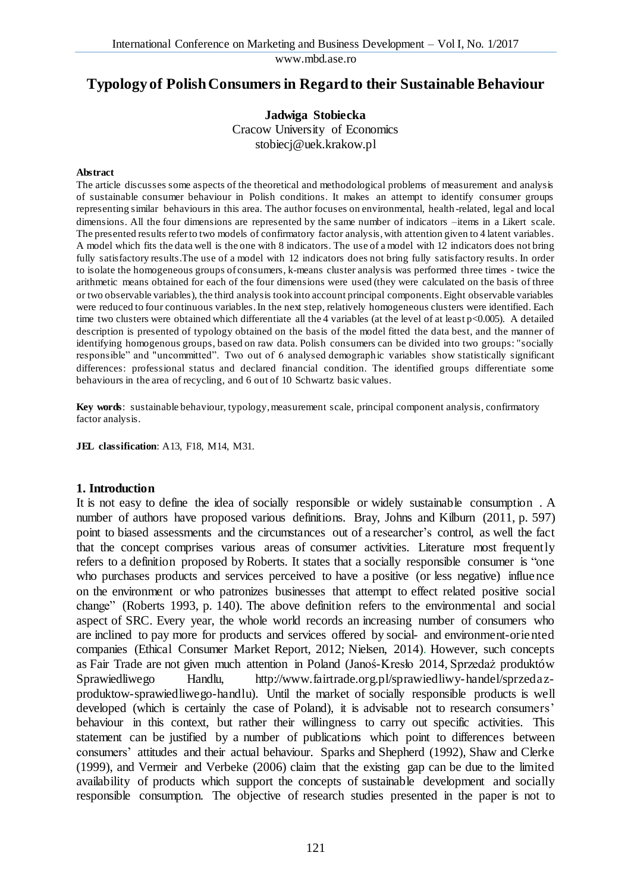www.mbd.ase.ro

# **Typology of Polish Consumers in Regard to their Sustainable Behaviour**

**Jadwiga Stobiecka**

Cracow University of Economics stobiecj@uek.krakow.pl

#### **Abstract**

The article discusses some aspects of the theoretical and methodological problems of measurement and analysis of sustainable consumer behaviour in Polish conditions. It makes an attempt to identify consumer groups representing similar behaviours in this area. The author focuses on environmental, health -related, legal and local dimensions. All the four dimensions are represented by the same number of indicators –items in a Likert scale. The presented results refer to two models of confirmatory factor analysis, with attention given to 4 latent variables. A model which fits the data well is the one with 8 indicators. The use of a model with 12 indicators does not bring fully satisfactory results.The use of a model with 12 indicators does not bring fully satisfactory results. In order to isolate the homogeneous groups of consumers, k-means cluster analysis was performed three times - twice the arithmetic means obtained for each of the four dimensions were used (they were calculated on the basis of three or two observable variables), the third analysis took into account principal components. Eight observable variables were reduced to four continuous variables. In the next step, relatively homogeneous clusters were identified. Each time two clusters were obtained which differentiate all the 4 variables (at the level of at least p<0.005). A detailed description is presented of typology obtained on the basis of the model fitted the data best, and the manner of identifying homogenous groups, based on raw data. Polish consumers can be divided into two groups: "socially responsible" and "uncommitted". Two out of 6 analysed demographic variables show statistically significant differences: professional status and declared financial condition. The identified groups differentiate some behaviours in the area of recycling, and 6 out of 10 Schwartz basic values.

**Key words**: sustainable behaviour, typology, measurement scale, principal component analysis, confirmatory factor analysis.

**JEL classification**: A13, F18, M14, M31.

#### **1. Introduction**

It is not easy to define the idea of socially responsible or widely sustainable consumption. A number of authors have proposed various definitions. Bray, Johns and Kilburn (2011, p. 597) point to biased assessments and the circumstances out of a researcher's control, as well the fact that the concept comprises various areas of consumer activities. Literature most frequently refers to a definition proposed by Roberts. It states that a socially responsible consumer is "one who purchases products and services perceived to have a positive (or less negative) influence on the environment or who patronizes businesses that attempt to effect related positive social change" (Roberts 1993, p. 140). The above definition refers to the environmental and social aspect of SRC. Every year, the whole world records an increasing number of consumers who are inclined to pay more for products and services offered by social- and environment-oriented companies (Ethical Consumer Market Report, 2012; Nielsen, 2014). However, such concepts as Fair Trade are not given much attention in Poland (Janoś-Kresło 2014, Sprzedaż produktów Sprawiedliwego Handlu, http://www.fairtrade.org.pl/sprawiedliwy-handel/sprzedazproduktow-sprawiedliwego-handlu). Until the market of socially responsible products is well developed (which is certainly the case of Poland), it is advisable not to research consumers' behaviour in this context, but rather their willingness to carry out specific activities. This statement can be justified by a number of publications which point to differences between consumers' attitudes and their actual behaviour. Sparks and Shepherd (1992), Shaw and Clerke (1999), and Vermeir and Verbeke (2006) claim that the existing gap can be due to the limited availability of products which support the concepts of sustainable development and socially responsible consumption. The objective of research studies presented in the paper is not to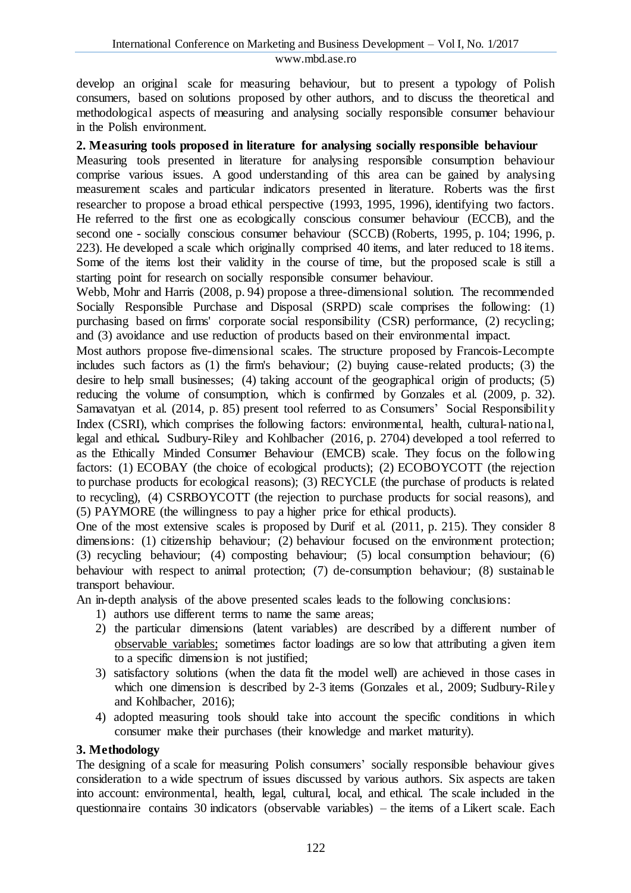develop an original scale for measuring behaviour, but to present a typology of Polish consumers, based on solutions proposed by other authors, and to discuss the theoretical and methodological aspects of measuring and analysing socially responsible consumer behaviour in the Polish environment.

#### **2. Measuring tools proposed in literature for analysing socially responsible behaviour**

Measuring tools presented in literature for analysing responsible consumption behaviour comprise various issues. A good understanding of this area can be gained by analysing measurement scales and particular indicators presented in literature. Roberts was the first researcher to propose a broad ethical perspective (1993, 1995, 1996), identifying two factors. He referred to the first one as ecologically conscious consumer behaviour (ECCB), and the second one - socially conscious consumer behaviour (SCCB) (Roberts, 1995, p. 104; 1996, p. 223). He developed a scale which originally comprised 40 items, and later reduced to 18 items. Some of the items lost their validity in the course of time, but the proposed scale is still a starting point for research on socially responsible consumer behaviour.

Webb, Mohr and Harris (2008, p. 94) propose a three-dimensional solution. The recommended Socially Responsible Purchase and Disposal (SRPD) scale comprises the following: (1) purchasing based on firms' corporate social responsibility (CSR) performance, (2) recycling; and (3) avoidance and use reduction of products based on their environmental impact.

Most authors propose five-dimensional scales. The structure proposed by Francois-Lecompte includes such factors as (1) the firm's behaviour; (2) buying cause-related products; (3) the desire to help small businesses; (4) taking account of the geographical origin of products; (5) reducing the volume of consumption, which is confirmed by Gonzales et al. (2009, p. 32). Samavatyan et al. (2014, p. 85) present tool referred to as Consumers' Social Responsibility Index (CSRI), which comprises the following factors: environmental, health, cultural-national, legal and ethical**.** Sudbury-Riley and Kohlbacher (2016, p. 2704) developed a tool referred to as the Ethically Minded Consumer Behaviour (EMCB) scale. They focus on the following factors: (1) ECOBAY (the choice of ecological products); (2) ECOBOYCOTT (the rejection to purchase products for ecological reasons); (3) RECYCLE (the purchase of products is related to recycling), (4) CSRBOYCOTT (the rejection to purchase products for social reasons), and (5) PAYMORE (the willingness to pay a higher price for ethical products).

One of the most extensive scales is proposed by Durif et al. (2011, p. 215). They consider 8 dimensions: (1) citizenship behaviour; (2) behaviour focused on the environment protection; (3) recycling behaviour; (4) composting behaviour; (5) local consumption behaviour; (6) behaviour with respect to animal protection; (7) de-consumption behaviour; (8) sustainable transport behaviour.

An in-depth analysis of the above presented scales leads to the following conclusions:

- 1) authors use different terms to name the same areas;
- 2) the particular dimensions (latent variables) are described by a different number of [observable](https://en.wikipedia.org/wiki/Observable_variable) variables; sometimes factor loadings are so low that attributing a given item to a specific dimension is not justified;
- 3) satisfactory solutions (when the data fit the model well) are achieved in those cases in which one dimension is described by 2-3 items (Gonzales et al., 2009; Sudbury-Riley and Kohlbacher, 2016);
- 4) adopted measuring tools should take into account the specific conditions in which consumer make their purchases (their [knowledge](https://www.diki.pl/slownik-angielskiego?q=knowledge) and market maturity).

#### **3. Methodology**

The designing of a scale for measuring Polish consumers' socially responsible behaviour gives consideration to a wide spectrum of issues discussed by various authors. Six aspects are taken into account: environmental, health, legal, [cultural,](https://www.diki.pl/slownik-angielskiego?q=cultural) local, and ethical. The scale included in the questionnaire contains 30 indicators (observable variables) – the items of a Likert scale. Each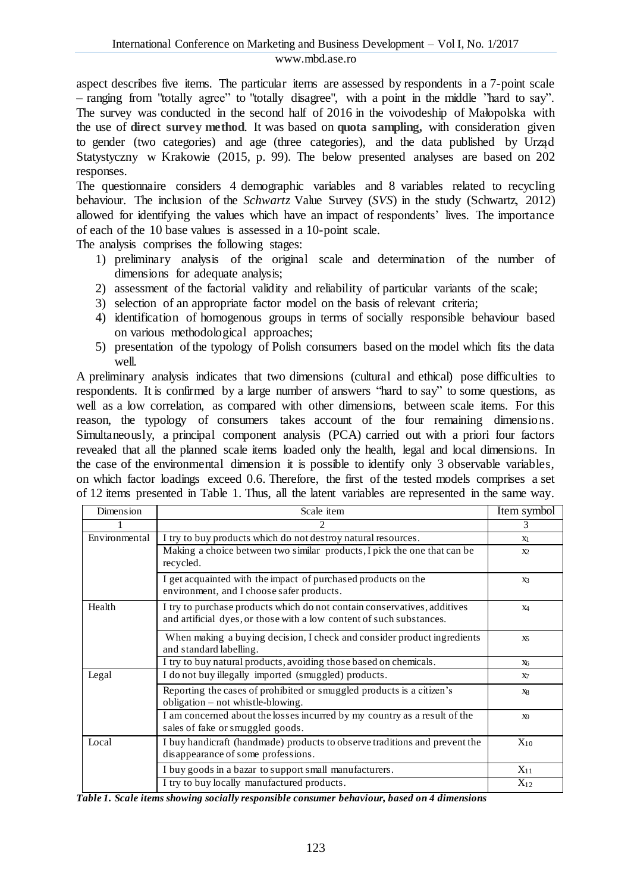aspect describes five items. The particular items are assessed by respondents in a 7-point scale – ranging from "totally agree" to "totally disagree", with a point in the middle "hard to say". The survey was conducted in the second half of 2016 in the voivodeship of Małopolska with the use of **direct [survey](https://www.diki.pl/slownik-angielskiego?q=direct+survey) method**. It was based on **quota [sampling,](https://www.diki.pl/slownik-angielskiego?q=quota+sampling)** with consideration given to gender (two categories) and age (three categories), and the data published by Urząd Statystyczny w Krakowie (2015, p. 99). The below presented analyses are based on 202 responses.

The questionnaire considers 4 demographic variables and 8 variables related to recycling behaviour. The inclusion of the *Schwartz* Value Survey (*SVS*) in the study (Schwartz, 2012) allowed for identifying the values which have an impact of respondents' lives. The importance of each of the 10 base values is assessed in a 10-point scale.

The analysis comprises the following stages:

- 1) preliminary analysis of the original scale and determination of the number of dimensions for adequate analysis;
- 2) assessment of the factorial validity and reliability of particular variants of the scale;
- 3) selection of an appropriate factor model on the basis of relevant criteria;
- 4) identification of homogenous groups in terms of socially responsible behaviour based on various methodological approaches;
- 5) presentation of the typology of Polish consumers based on the model which fits the data well.

A preliminary analysis indicates that two dimensions (cultural and ethical) pose difficulties to respondents. It is confirmed by a large number of answers "hard to say" to some questions, as well as a low correlation, as compared with other dimensions, between scale items. For this reason, the typology of consumers takes account of the four remaining dimensions. Simultaneously, a principal component analysis (PCA) carried out with a priori four factors revealed that all the planned scale items loaded only the health, legal and local dimensions. In the case of the environmental dimension it is possible to identify only 3 observable variables, on which factor loadings exceed 0.6. Therefore, the first of the tested models comprises a set of 12 items presented in Table 1. Thus, all the latent variables are represented in the same way.

| Dimension     | Scale item                                                                                                                                       | Item symbol    |  |
|---------------|--------------------------------------------------------------------------------------------------------------------------------------------------|----------------|--|
|               |                                                                                                                                                  | 3.             |  |
| Environmental | I try to buy products which do not destroy natural resources.                                                                                    |                |  |
|               | Making a choice between two similar products, I pick the one that can be<br>recycled.                                                            | X <sub>2</sub> |  |
|               | I get acquainted with the impact of purchased products on the<br>environment, and I choose safer products.                                       | X3             |  |
| Health        | I try to purchase products which do not contain conservatives, additives<br>and artificial dyes, or those with a low content of such substances. | X <sub>4</sub> |  |
|               | When making a buying decision, I check and consider product ingredients<br>and standard labelling.                                               | X5             |  |
|               | I try to buy natural products, avoiding those based on chemicals.                                                                                | X <sub>6</sub> |  |
| Legal         | I do not buy illegally imported (smuggled) products.                                                                                             | X7             |  |
|               | Reporting the cases of prohibited or smuggled products is a citizen's<br>obligation $-$ not whistle-blowing.                                     | X8             |  |
|               | I am concerned about the losses incurred by my country as a result of the<br>sales of fake or smuggled goods.                                    | X9             |  |
| Local         | I buy handicraft (handmade) products to observe traditions and prevent the<br>disappearance of some professions.                                 | $X_{10}$       |  |
|               | I buy goods in a bazar to support small manufacturers.                                                                                           | $X_{11}$       |  |
|               | I try to buy locally manufactured products.                                                                                                      | $X_{12}$       |  |

*Table 1. Scale items showing socially responsible consumer behaviour, based on 4 dimensions*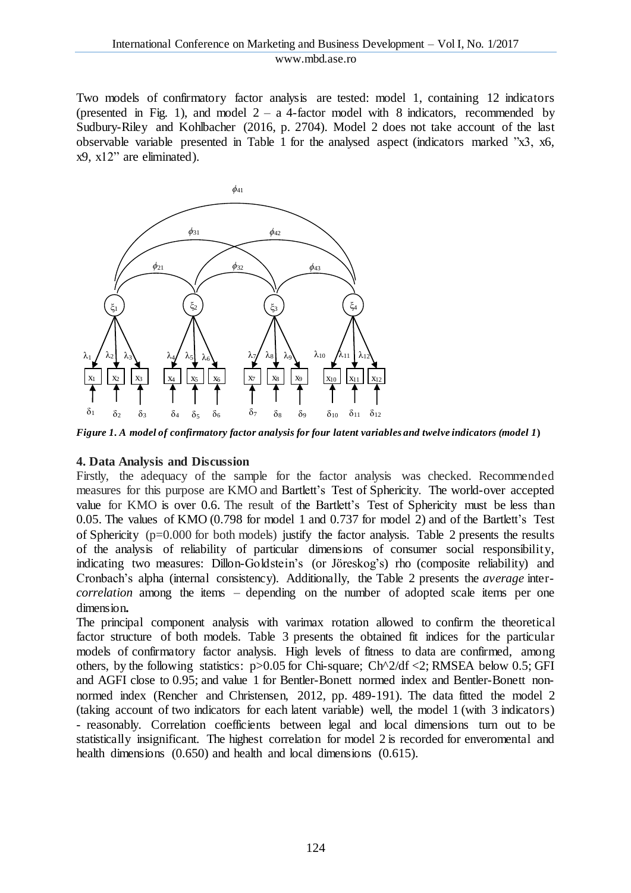Two models of confirmatory factor analysis are tested: model 1, containing 12 indicators (presented in Fig. 1), and model  $2 - a$  4-factor model with 8 indicators, recommended by Sudbury-Riley and Kohlbacher (2016, p. 2704). Model 2 does not take account of the last observable variable presented in Table 1 for the analysed aspect (indicators marked "x3, x6, x9, x12" are eliminated).



Figure 1. A model of confirmatory factor analysis for four latent variables and twelve indicators (model 1)

#### **4. Data Analysis and Discussion**

Firstly, the adequacy of the sample for the factor analysis was checked. Recommended measures for this purpose are KMO and Bartlett's Test of Sphericity. The world-over accepted value for KMO is over 0.6. The result of the Bartlett's Test of Sphericity must be less than 0.05. The values of KMO (0.798 for model 1 and 0.737 for model 2) and of the Bartlett's Test of Sphericity (p=0.000 for both models) justify the factor analysis. Table 2 presents the results of the analysis of reliability of particular dimensions of consumer social responsibility, indicating two measures: Dillon-Goldstein's (or Jӧreskog's) rho (composite reliability) and Cronbach's alpha (internal consistency). Additionally, the Table 2 presents the *average* inter*correlation* among the items – depending on the number of adopted scale items per one dimension**.**

The principal component analysis with varimax rotation allowed to confirm the theoretical factor structure of both models. Table 3 presents the obtained fit indices for the particular models of confirmatory factor analysis. High levels of fitness to data are confirmed, among others, by the following statistics: p>0.05 for Chi-square; Ch^2/df <2; RMSEA below 0.5; GFI and AGFI close to 0.95; and value 1 for Bentler-Bonett normed index and Bentler-Bonett nonnormed index (Rencher and Christensen, 2012, pp. 489-191). The data fitted the model 2 (taking account of two indicators for each latent variable) well, the model 1 (with 3 indicators) - reasonably. Correlation coefficients between legal and local dimensions turn out to be statistically insignificant. The highest correlation for model 2 is recorded for enveromental and health dimensions (0.650) and health and local dimensions (0.615).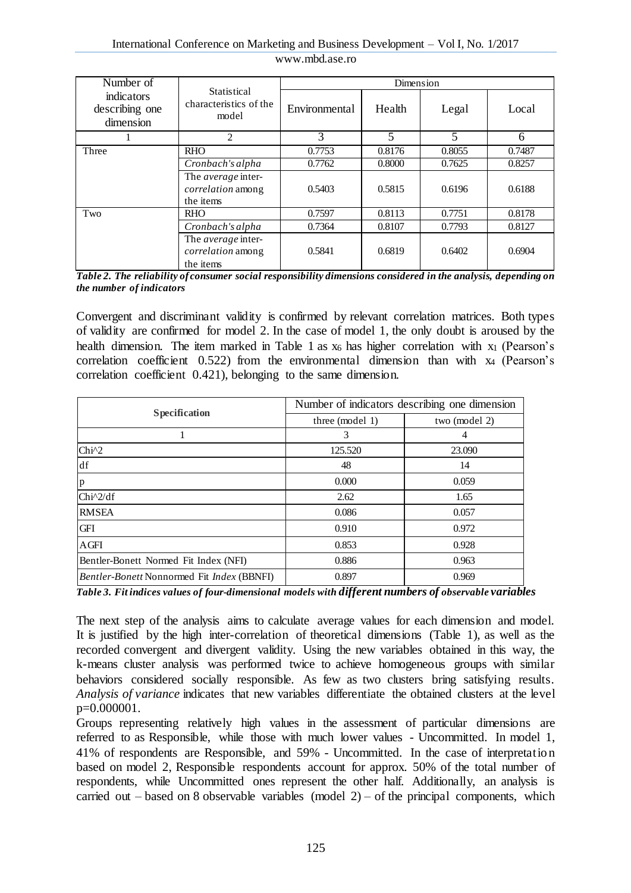| Number of                                 | <b>Statistical</b><br>characteristics of the<br>model       | Dimension     |        |        |        |
|-------------------------------------------|-------------------------------------------------------------|---------------|--------|--------|--------|
| indicators<br>describing one<br>dimension |                                                             | Environmental | Health | Legal  | Local  |
|                                           | $\overline{c}$                                              | 3             | 5      | 5      | 6      |
| Three                                     | <b>RHO</b>                                                  | 0.7753        | 0.8176 | 0.8055 | 0.7487 |
|                                           | Cronbach's alpha                                            | 0.7762        | 0.8000 | 0.7625 | 0.8257 |
|                                           | The average inter-<br>correlation among<br>the items        | 0.5403        | 0.5815 | 0.6196 | 0.6188 |
| Two                                       | <b>RHO</b>                                                  | 0.7597        | 0.8113 | 0.7751 | 0.8178 |
|                                           | Cronbach's alpha                                            | 0.7364        | 0.8107 | 0.7793 | 0.8127 |
|                                           | The average inter-<br><i>correlation</i> among<br>the items | 0.5841        | 0.6819 | 0.6402 | 0.6904 |

*Table 2. The reliability of consumer social responsibility dimensions considered in the analysis, depending on the number of indicators*

Convergent and discriminant validity is confirmed by relevant correlation matrices. Both types of validity are confirmed for model 2. In the case of model 1, the only doubt is aroused by the health dimension. The item marked in Table 1 as  $x_6$  has higher correlation with  $x_1$  (Pearson's correlation coefficient  $0.522$ ) from the environmental dimension than with  $x_4$  (Pearson's correlation coefficient 0.421), belonging to the same dimension.

|                                                          | Number of indicators describing one dimension |               |  |  |
|----------------------------------------------------------|-----------------------------------------------|---------------|--|--|
| <b>Specification</b>                                     | three (model 1)                               | two (model 2) |  |  |
|                                                          | 3                                             | 4             |  |  |
| $Chi^2$                                                  | 125.520                                       | 23.090        |  |  |
| df                                                       | 48                                            | 14            |  |  |
| p                                                        | 0.000                                         | 0.059         |  |  |
| $Chi^2/df$                                               | 2.62                                          | 1.65          |  |  |
| <b>RMSEA</b>                                             | 0.086                                         | 0.057         |  |  |
| GFI                                                      | 0.910                                         | 0.972         |  |  |
| <b>AGFI</b>                                              | 0.853                                         | 0.928         |  |  |
| Bentler-Bonett Normed Fit Index (NFI)                    | 0.886                                         | 0.963         |  |  |
| <i>Bentler-Bonett</i> Nonnormed Fit <i>Index</i> (BBNFI) | 0.897                                         | 0.969         |  |  |

*Table 3. Fit indices values of four-dimensional models with different numbers of observable variables*

The next step of the analysis aims to calculate average values for each dimension and model. It is justified by the high inter-correlation of theoretical dimensions (Table 1), as well as the recorded convergent and divergent validity. Using the new variables obtained in this way, the k-means cluster analysis was performed twice to achieve homogeneous groups with similar behaviors considered socially responsible. As few as two clusters bring [satisfying](https://www.diki.pl/slownik-angielskiego?q=satisfying) results. *Analysis of variance* indicates that new variables differentiate the obtained clusters at the level p=0.000001.

Groups representing relatively high values in the assessment of particular dimensions are referred to as Responsible, while those with much lower values - Uncommitted. In model 1, 41% of respondents are Responsible, and 59% - Uncommitted. In the case of interpretation based on model 2, Responsible respondents account for approx. 50% of the total number of respondents, while Uncommitted ones represent the other half. Additionally, an analysis is carried out – based on 8 observable variables (model  $2$ ) – of the principal components, which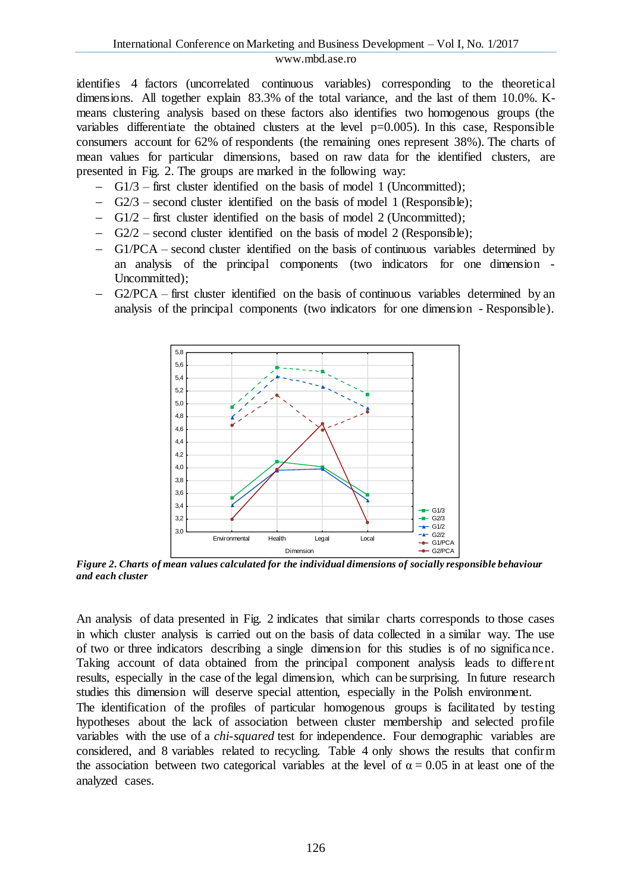identifies 4 factors (uncorrelated continuous variables) corresponding to the theoretical dimensions. All together explain 83.3% of the total variance, and the last of them 10.0%. Kmeans clustering analysis based on these factors also identifies two homogenous groups (the variables differentiate the obtained clusters at the level  $p=0.005$ ). In this case, Responsible consumers account for 62% of respondents (the remaining ones represent 38%). The charts of mean values for particular dimensions, based on raw data for the identified clusters, are presented in Fig. 2. The groups are marked in the following way:

- G1/3 first cluster identified on the basis of model 1 (Uncommitted);
- $-$  G2/3 second cluster identified on the basis of model 1 (Responsible);
- G1/2 first cluster identified on the basis of model 2 (Uncommitted);
- $-$  G2/2 second cluster identified on the basis of model 2 (Responsible);
- G1/PCA second cluster identified on the basis of continuous variables determined by an analysis of the principal components (two indicators for one dimension - Uncommitted);
- G2/PCA first cluster identified on the basis of continuous variables determined by an analysis of the principal components (two indicators for one dimension - Responsible).



*Figure 2. Charts of mean values calculated for the individual dimensions of socially responsible behaviour and each cluster*

An analysis of data presented in Fig. 2 indicates that similar charts corresponds to those cases in which cluster analysis is carried out on the basis of data collected in a similar way. The use of two or three indicators describing a single dimension for this studies is of no significance. Taking account of data obtained from the principal component analysis leads to different results, especially in the case of the legal dimension, which can be surprising. In future research studies this dimension will deserve special attention, especially in the Polish environment. The identification of the profiles of particular homogenous groups is facilitated by testing

hypotheses about the lack of association between cluster membership and selected profile variables with the use of a *chi*-*squared* test for independence. Four demographic variables are considered, and 8 variables related to recycling. Table 4 only shows the results that confirm the association between two categorical variables at the level of  $\alpha = 0.05$  in at least one of the analyzed cases.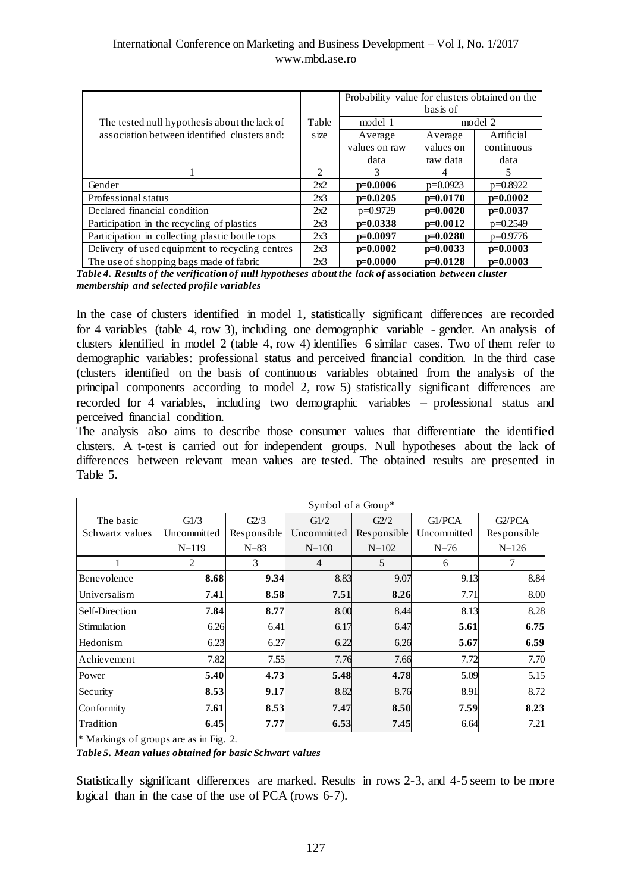|                                                 |       | Probability value for clusters obtained on the | basis of   |            |
|-------------------------------------------------|-------|------------------------------------------------|------------|------------|
|                                                 | Table |                                                |            |            |
| The tested null hypothesis about the lack of    |       | model 1                                        | model 2    |            |
| association between identified clusters and:    | size  | Average                                        | Average    | Artificial |
|                                                 |       | values on raw                                  | values on  | continuous |
|                                                 |       | data                                           | raw data   | data       |
|                                                 | 2     | 3                                              | 4          | 5.         |
| Gender                                          | 2x2   | $p=0.0006$                                     | $p=0.0923$ | $p=0.8922$ |
| Professional status                             | 2x3   | $p=0.0205$                                     | $p=0.0170$ | $p=0.0002$ |
| Declared financial condition                    | 2x2   | $p=0.9729$                                     | $p=0.0020$ | $p=0.0037$ |
| Participation in the recycling of plastics      | 2x3   | $p=0.0338$                                     | $p=0.0012$ | $p=0.2549$ |
| Participation in collecting plastic bottle tops | 2x3   | $p=0.0097$                                     | $p=0.0280$ | $p=0.9776$ |
| Delivery of used equipment to recycling centres | 2x3   | $p=0.0002$                                     | $p=0.0033$ | $p=0.0003$ |
| The use of shopping bags made of fabric         | 2x3   | $p=0.0000$                                     | $p=0.0128$ | $p=0.0003$ |

*Table 4. Results of the verification of null hypotheses about the lack of* **association** *between cluster membership and selected profile variables*

In the case of clusters identified in model 1, statistically significant differences are recorded for 4 variables (table 4, row 3), including one demographic variable - gender. An analysis of clusters identified in model 2 (table 4, row 4) identifies 6 similar cases. Two of them refer to demographic variables: professional status and perceived financial condition. In the third case (clusters identified on the basis of continuous variables obtained from the analysis of the principal components according to model 2, row 5) statistically significant differences are recorded for 4 variables, including two demographic variables – professional status and perceived financial condition.

The analysis also aims to describe those consumer values that differentiate the identified clusters. A t-test is carried out for independent groups. Null hypotheses about the lack of differences between relevant mean values are tested. The obtained results are presented in Table 5.

|                                        | Symbol of a Group* |             |                |             |             |             |
|----------------------------------------|--------------------|-------------|----------------|-------------|-------------|-------------|
| The basic                              | GI/3               | G2/3        | GI/2           | G2/2        | G1/PCA      | G2/PCA      |
| Schwartz values                        | Uncommitted        | Responsible | Uncommitted    | Responsible | Uncommitted | Responsible |
|                                        | $N=119$            | $N=83$      | $N = 100$      | $N = 102$   | $N=76$      | $N=126$     |
|                                        | 2                  | 3           | $\overline{4}$ | 5           | 6           | 7           |
| Benevolence                            | 8.68               | 9.34        | 8.83           | 9.07        | 9.13        | 8.84        |
| Universalism                           | 7.41               | 8.58        | 7.51           | 8.26        | 7.71        | 8.00        |
| Self-Direction                         | 7.84               | 8.77        | 8.00           | 8.44        | 8.13        | 8.28        |
| Stimulation                            | 6.26               | 6.41        | 6.17           | 6.47        | 5.61        | 6.75        |
| Hedonism                               | 6.23               | 6.27        | 6.22           | 6.26        | 5.67        | 6.59        |
| Achievement                            | 7.82               | 7.55        | 7.76           | 7.66        | 7.72        | 7.70        |
| Power                                  | 5.40               | 4.73        | 5.48           | 4.78        | 5.09        | 5.15        |
| Security                               | 8.53               | 9.17        | 8.82           | 8.76        | 8.91        | 8.72        |
| Conformity                             | 7.61               | 8.53        | 7.47           | 8.50        | 7.59        | 8.23        |
| Tradition                              | 6.45               | 7.77        | 6.53           | 7.45        | 6.64        | 7.21        |
| * Markings of groups are as in Fig. 2. |                    |             |                |             |             |             |

*Table 5. Mean values obtained for basic Schwart values*

Statistically significant differences are marked. Results in rows 2-3, and 4-5 seem to be more logical than in the case of the use of PCA (rows 6-7).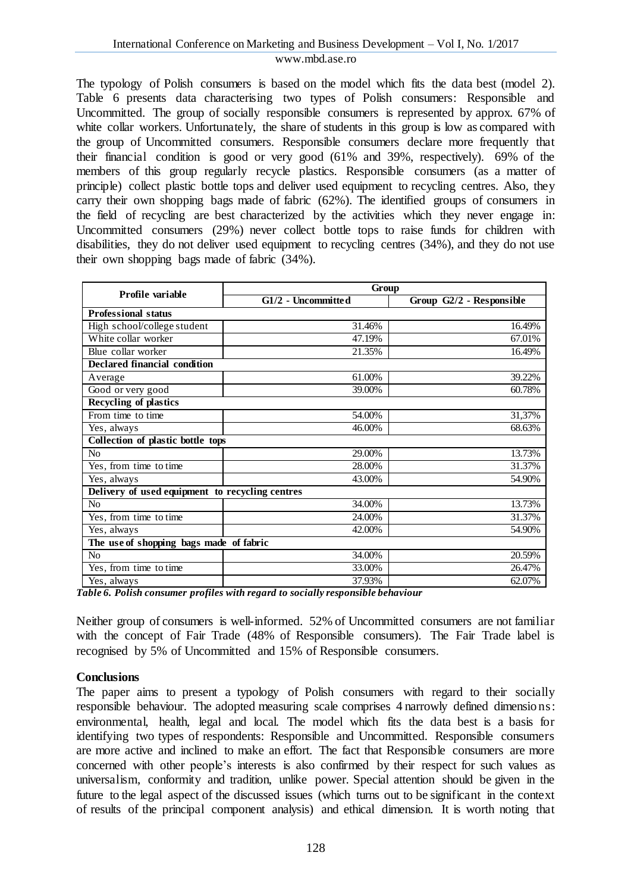The typology of Polish consumers is based on the model which fits the data best (model 2). Table 6 presents data characterising two types of Polish consumers: Responsible and Uncommitted. The group of socially responsible consumers is represented by approx. 67% of white collar workers. Unfortunately, the share of students in this group is low as compared with the group of Uncommitted consumers. Responsible consumers declare more frequently that their financial condition is good or very good (61% and 39%, respectively). 69% of the members of this group regularly recycle plastics. Responsible consumers (as a matter of principle) collect plastic bottle tops and deliver used equipment to recycling centres. Also, they carry their own shopping bags made of fabric (62%). The identified groups of consumers in the field of recycling are best characterized by the activities which they never engage in: Uncommitted consumers (29%) never collect bottle tops to raise funds for children with disabilities, they do not deliver used equipment to recycling centres (34%), and they do not use their own shopping bags made of fabric (34%).

| Profile variable                                | Group                                                      |                          |  |  |  |  |
|-------------------------------------------------|------------------------------------------------------------|--------------------------|--|--|--|--|
|                                                 | G1/2 - Uncommitted                                         | Group G2/2 - Responsible |  |  |  |  |
| <b>Professional status</b>                      |                                                            |                          |  |  |  |  |
| High school/college student                     | 31.46%                                                     | 16.49%                   |  |  |  |  |
| White collar worker                             | 47.19%                                                     | 67.01%                   |  |  |  |  |
| Blue collar worker                              | 21.35%                                                     | 16.49%                   |  |  |  |  |
| <b>Declared financial condition</b>             |                                                            |                          |  |  |  |  |
| Average                                         | 61.00%                                                     | 39.22%                   |  |  |  |  |
| Good or very good                               | 39.00%                                                     | 60.78%                   |  |  |  |  |
| <b>Recycling of plastics</b>                    |                                                            |                          |  |  |  |  |
| From time to time                               | 54.00%                                                     | 31,37%                   |  |  |  |  |
| Yes, always                                     | 46.00%                                                     | 68.63%                   |  |  |  |  |
| Collection of plastic bottle tops               |                                                            |                          |  |  |  |  |
| No                                              | 29.00%                                                     | 13.73%                   |  |  |  |  |
| Yes, from time to time                          | 28.00%                                                     | 31.37%                   |  |  |  |  |
| Yes, always                                     | 43.00%                                                     | 54.90%                   |  |  |  |  |
| Delivery of used equipment to recycling centres |                                                            |                          |  |  |  |  |
| No                                              | 34.00%                                                     | 13.73%                   |  |  |  |  |
| Yes, from time to time                          | 24.00%                                                     | 31.37%                   |  |  |  |  |
| Yes, always                                     | 42.00%                                                     | 54.90%                   |  |  |  |  |
| The use of shopping bags made of fabric         |                                                            |                          |  |  |  |  |
| N <sub>o</sub>                                  | 34.00%                                                     | 20.59%                   |  |  |  |  |
| Yes, from time to time                          | 33.00%                                                     | 26.47%                   |  |  |  |  |
| Yes, always<br>$-$<br>.                         | 37.93%<br>$\cdots$<br>$\mathbf{r}$<br>$\cdot$ $\cdot$<br>. | 62.07%                   |  |  |  |  |

*Table 6. Polish consumer profiles with regard to socially responsible behaviour*

Neither group of consumers is well-informed. 52% of Uncommitted consumers are not familiar with the concept of Fair Trade (48% of Responsible consumers). The Fair Trade label is recognised by 5% of Uncommitted and 15% of Responsible consumers.

## **Conclusions**

The paper aims to present a typology of Polish consumers with regard to their socially responsible behaviour. The adopted measuring scale comprises 4 narrowly defined dimensions: environmental, health, legal and local. The model which fits the data best is a basis for identifying two types of respondents: Responsible and Uncommitted. Responsible consumers are more active and inclined to make an effort. The fact that Responsible consumers are more concerned with other people's interests is also confirmed by their respect for such values as universalism, conformity and tradition, unlike power. Special attention should be given in the future to the legal aspect of the discussed issues (which turns out to be significant in the context of results of the principal component analysis) and ethical dimension. It is worth noting that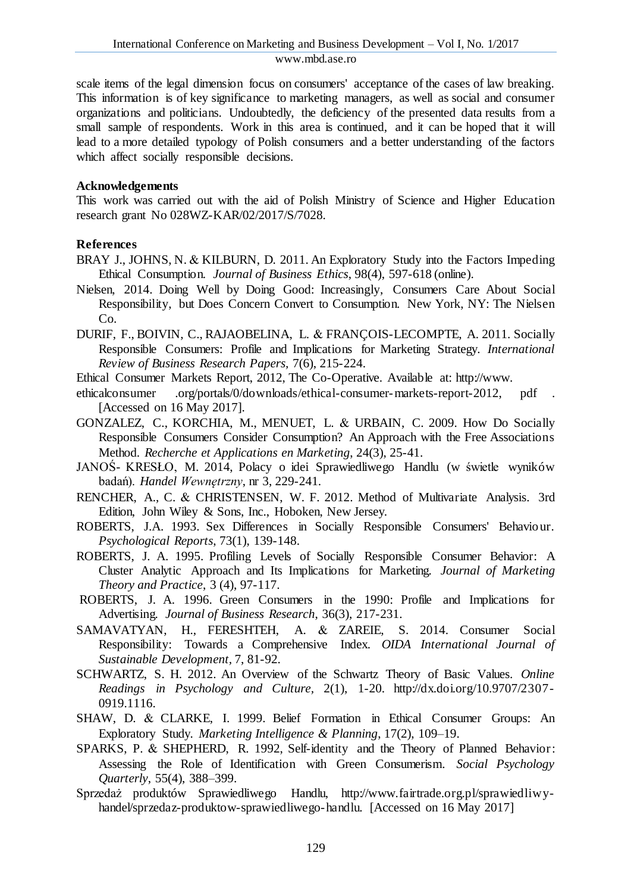scale items of the legal dimension focus on consumers' acceptance of the cases of law breaking. This information is of key significance to marketing managers, as well as social and consumer organizations and politicians. Undoubtedly, the deficiency of the presented data results from a small sample of respondents. Work in this area is continued, and it can be hoped that it will lead to a more detailed typology of Polish consumers and a better understanding of the factors which affect socially responsible decisions.

### **Acknowledgements**

This work was carried out with the aid of Polish Ministry of Science and Higher Education research grant No 028WZ-KAR/02/2017/S/7028.

## **References**

- BRAY J., JOHNS, N. & KILBURN, D. 2011. An Exploratory Study into the Factors Impeding Ethical Consumption. *Journal of Business Ethics*, 98(4), 597-618 (online).
- Nielsen, 2014. Doing Well by Doing Good: Increasingly, Consumers Care About Social Responsibility, but Does Concern Convert to Consumption. New York, NY: The Nielsen Co.
- DURIF, F., BOIVIN, C., RAJAOBELINA, L. & FRANÇOIS-LECOMPTE, A. 2011. Socially Responsible Consumers: Profile and Implications for Marketing Strategy. *International Review of Business Research Papers,* 7(6), 215-224.
- Ethical Consumer Markets Report, 2012, The Co-Operative. Available at: http://www.
- ethicalconsumer .org/portals/0/downloads/ethical-consumer-markets-report-2012, pdf . [Accessed on 16 May 2017].
- GONZALEZ, C., KORCHIA, M., MENUET, L. & URBAIN, C. 2009. How Do Socially Responsible Consumers Consider Consumption? An Approach with the Free Associations Method. *Recherche et Applications en Marketing*, 24(3), 25-41.
- JANOŚ- KRESŁO, M. 2014, Polacy o idei Sprawiedliwego Handlu (w świetle wyników badań). *Handel Wewnętrzny*, nr 3, 229-241.
- RENCHER, A., C. & CHRISTENSEN, W. F. 2012. Method of Multivariate Analysis. 3rd Edition, John Wiley & Sons, Inc., Hoboken, New Jersey.
- ROBERTS, J.A. 1993. Sex Differences in Socially Responsible Consumers' Behaviour. *Psychological Reports*, 73(1), 139-148.
- ROBERTS, J. A. 1995. Profiling Levels of Socially Responsible Consumer Behavior: A Cluster Analytic Approach and Its Implications for Marketing. *Journal of Marketing Theory and Practice*, 3 (4), 97-117.
- ROBERTS, J. A. 1996. Green Consumers in the 1990: Profile and Implications for Advertising. *Journal of Business Research*, 36(3), 217-231.
- SAMAVATYAN, H., FERESHTEH, A. & ZAREIE, S. 2014. Consumer Social Responsibility: Towards a Comprehensive Index. *OIDA International Journal of Sustainable Development,* 7, 81-92.
- SCHWARTZ, S. H. 2012. An Overview of the Schwartz Theory of Basic Values. *Online Readings in Psychology and Culture,* 2(1), 1-20. http://dx.doi.org/10.9707/2307- 0919.1116.
- SHAW, D. & CLARKE, I. 1999. Belief Formation in Ethical Consumer Groups: An Exploratory Study. *Marketing Intelligence & Planning*, 17(2), 109–19.
- SPARKS, P. & SHEPHERD, R. 1992, Self-identity and the Theory of Planned Behavior: Assessing the Role of Identification with Green Consumerism. *Social Psychology Quarterly*, 55(4), 388–399.
- Sprzedaż produktów Sprawiedliwego Handlu, http://www.fairtrade.org.pl/sprawiedliwyhandel/sprzedaz-produktow-sprawiedliwego-handlu. [Accessed on 16 May 2017]